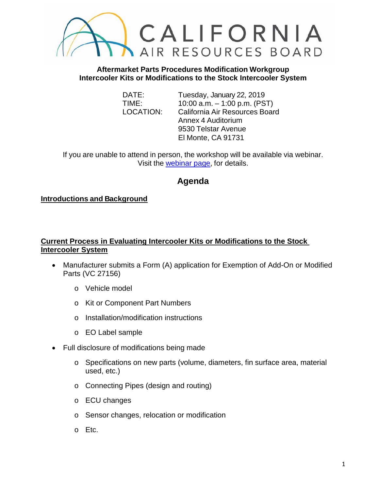

**Aftermarket Parts Procedures Modification Workgroup Intercooler Kits or Modifications to the Stock Intercooler System**

DATE: Tuesday, January 22, 2019 TIME: 10:00 a.m. – 1:00 p.m. (PST) LOCATION: California Air Resources Board Annex 4 Auditorium 9530 Telstar Avenue El Monte, CA 91731

If you are unable to attend in person, the workshop will be available via webinar. Visit the [webinar page,](https://attendee.gotowebinar.com/register/5681487039071884802) for details.

# **Agenda**

# **Introductions and Background**

# **Current Process in Evaluating Intercooler Kits or Modifications to the Stock Intercooler System**

- Manufacturer submits a Form (A) application for Exemption of Add-On or Modified Parts (VC 27156)
	- o Vehicle model
	- o Kit or Component Part Numbers
	- o Installation/modification instructions
	- o EO Label sample
- Full disclosure of modifications being made
	- o Specifications on new parts (volume, diameters, fin surface area, material used, etc.)
	- o Connecting Pipes (design and routing)
	- o ECU changes
	- o Sensor changes, relocation or modification
	- o Etc.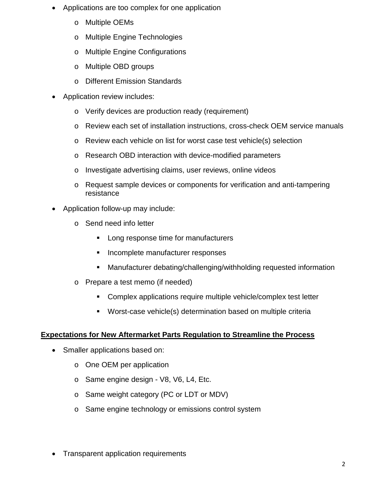- Applications are too complex for one application
	- o Multiple OEMs
	- o Multiple Engine Technologies
	- o Multiple Engine Configurations
	- o Multiple OBD groups
	- o Different Emission Standards
- Application review includes:
	- o Verify devices are production ready (requirement)
	- o Review each set of installation instructions, cross-check OEM service manuals
	- o Review each vehicle on list for worst case test vehicle(s) selection
	- o Research OBD interaction with device-modified parameters
	- o Investigate advertising claims, user reviews, online videos
	- o Request sample devices or components for verification and anti-tampering resistance
- Application follow-up may include:
	- o Send need info letter
		- **Long response time for manufacturers**
		- **Incomplete manufacturer responses**
		- Manufacturer debating/challenging/withholding requested information
	- o Prepare a test memo (if needed)
		- **Complex applications require multiple vehicle/complex test letter**
		- Worst-case vehicle(s) determination based on multiple criteria

#### **Expectations for New Aftermarket Parts Regulation to Streamline the Process**

- Smaller applications based on:
	- o One OEM per application
	- o Same engine design V8, V6, L4, Etc.
	- o Same weight category (PC or LDT or MDV)
	- o Same engine technology or emissions control system
- Transparent application requirements